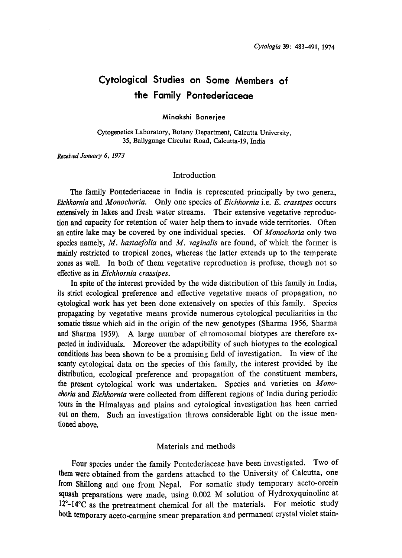# Cytological Studies on Some Members of the Family Pontederiaceae

Minakshi Banerjee

Cytogenetics Laboratory, Botany Department, Calcutta University, 35, Ballygunge Circular Road, Calcutta-19, India

Received January 6, 1973

#### Introduction

The family Pontederiaceae in India is represented principally by two genera, Eichhornia and Monochoria. Only one species of Eichhornia i.e. E. crassipes occurs extensively in lakes and fresh water streams. Their extensive vegetative reproduc tion and capacity for retention of water help them to invade wide territories. Often an entire lake may be covered by one individual species. Of Monochoria only two species namely, M. hastaefolia and M. vaginalis are found, of which the former is mainly restricted to tropical zones, whereas the latter extends up to the temperate zones as well. In both of them vegetative reproduction is profuse, though not so effective as in Eichhornia crassipes.

In spite of the interest provided by the wide distribution of this family in India, its strict ecological preference and effective vegetative means of propagation, no cytological work has yet been done extensively on species of this family. Species propagating by vegetative means provide numerous cytological peculiarities in the somatic tissue which aid in the origin of the new genotypes (Sharma 1956, Sharma and Sharma 1959). A large number of chromosomal biotypes are therefore ex pected in individuals. Moreover the adaptibility of such biotypes to the ecological conditions has been shown to be a promising field of investigation. In view of the scanty cytological data on the species of this family, the interest provided by the distribution, ecological preference and propagation of the constituent members, the present cytological work was undertaken. Species and varieties on Mono choria and Eichhornia were collected from different regions of India during periodic tours in the Himalayas and plains and cytological investigation has been carried out on them. Such an investigation throws considerable light on the issue men tioned above.

# Materials and methods

Four species under the family Pontederiaceae have been investigated. Two of them were obtained from the gardens attached to the University of Calcutta, one from Shillong and one from Nepal. For somatic study temporary aceto-or squash preparations were made, using 0.002 M solution of Hydroxyquinoline at  $12^{\circ}$ -14 $^{\circ}$ C as the pretreatment chemical for all the materials. For meiotic study both temporary aceto-carmine smear preparation and permanent crystal violet stain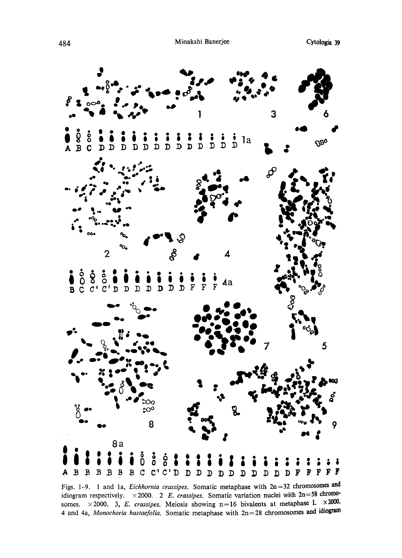

Figs. 1-9. 1 and 1a, *Eichhornia crassipes*. Somatic metaphase with  $2n=32$  chromosomes and idiogram respectively.  $\times 2000$ . 2 E. crassipes. Somatic variation nuclei with 2n=58 chromosomes.  $\times 2000$ . 3, E. crassipes. Meiosis showing n=16 bivalents at metaphase I.  $\times 2000$ . 4 and 4a, Monochoria hastaefolia. Somatic metaphase with  $2n=28$  chromosomes and idiogram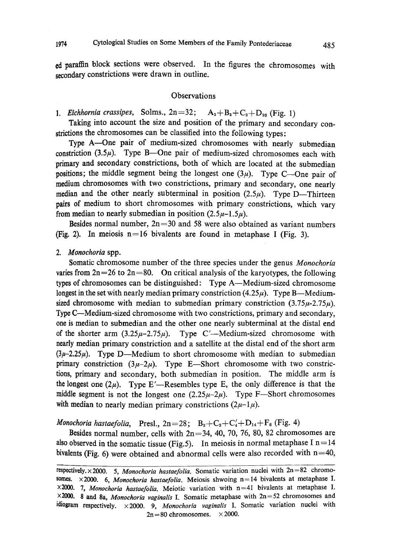ed paraffin block sections were observed. In the figures the chromosomes with secondary constrictions were drawn in outline.

## **Observations**

1. Eichhornia crassipes, Solms.,  $2n=32$ ;  $A_2+B_2+C_2+D_{26}$  (Fig. 1)

Taking into account the size and position of the primary and secondary con strictions the chromosomes can be classified into the following types:

Type A-One pair of medium-sized chromosomes with nearly submedian constriction (3.5 $\mu$ ). Type B—One pair of medium-sized chromosomes each with primary and secondary constrictions, both of which are located at the submedian positions; the middle segment being the longest one  $(3\mu)$ . Type C-One pair of medium chromosomes with two constrictions, primary and secondary, one nearly median and the other nearly subterminal in position  $(2.5\mu)$ . Type D-Thirteen pairs of medium to short chromosomes with primary constrictions, which vary from median to nearly submedian in position  $(2.5\mu-1.5\mu)$ .

Besides normal number,  $2n=30$  and 58 were also obtained as variant numbers (Fig. 2). In meiosis  $n=16$  bivalents are found in metaphase I (Fig. 3).

# 2. Monochoria spp.

Somatic chromosome number of the three species under the genus Monochoria varies from  $2n=26$  to  $2n=80$ . On critical analysis of the karyotypes, the following types of chromosomes can be distinguished: Type A-Medium-sized chromosome longest in the set with nearly median primary constriction  $(4.25\mu)$ . Type B—Mediumsized chromosome with median to submedian primary constriction  $(3.75\mu - 2.75\mu)$ . Type C—Medium-sized chromosome with two constrictions, primary and secondary, one is median to submedian and the other one nearly subterminal at the distal end of the shorter arm  $(3.25\mu - 2.75\mu)$ . Type C'—Medium-sized chromosome with nearly median primary constriction and a satellite at the distal end of the short arm  $(3\mu-2.25\mu)$ . Type D—Medium to short chromosome with median to submedian primary constriction  $(3\mu-2\mu)$ . Type E-Short chromosome with two constrictions, primary and secondary, both submedian in position. The middle arm is the longest one  $(2\mu)$ . Type E'—Resembles type E, the only difference is that the middle segment is not the longest one  $(2.25\mu-2\mu)$ . Type F-Short chromosomes with median to nearly median primary constrictions  $(2\mu-1\mu)$ .

Monochoria hastaefolia, Presl.,  $2n=28$ ;  $B_2+C_2+C_4+D_{14}+F_6$  (Fig. 4)

Besides normal number, cells with  $2n=34$ , 40, 70, 76, 80, 82 chromosomes are also observed in the somatic tissue (Fig.5). In meiosis in normal metaphase I n=14 bivalents (Fig. 6) were obtained and abnormal cells were also recorded with  $n=40$ ,

respectively.  $\times$  2000. 5. *Monochoria hastaefolia*. Somatic variation nuclei with  $2n=82$  chromores somes.  $\times 2000$ . 6, *Monochoria hastaefolia*. Meiosis shwoing n=14 bivalents at metaphase I.  $\times$  2000. 7, Monochoria hastaefolia. Meiotic variation with  $n=41$  bivalents at metaphase I.  $\times$  2000. 8 and 8a, *Monochoria vaginalis* I. Somatic metaphase with  $2n=52$  chromosomes and idiogram respectively.  $\times$  2000. 9, Monochoria vaginalis I. Somatic variation nuclei with  $2n=80$  chromosomes.  $\times 2000$ .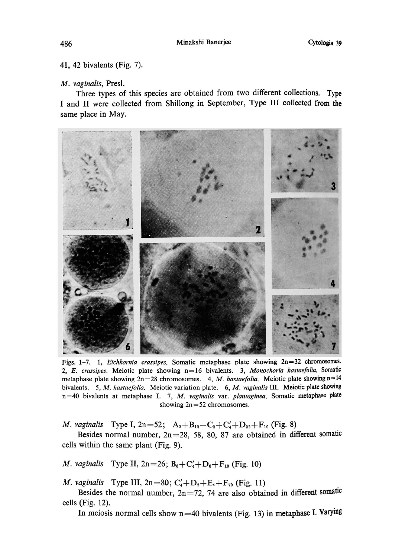# 41, 42 bivalents (Fig. 7).

#### M. vaginalis, Presl.

Three types of this species are obtained from two different collections. Type I and II were collected from Shillong in September, Type III collected from the same place in May.



Figs. 1-7. 1, *Eichhornia crassipes*. Somatic metaphase plate showing  $2n=32$  chromosomes. 2, E. crassipes. Meiotic plate showing  $n=16$  bivalents. 3, Monochoria hastaefolia. Somatic metaphase plate showing  $2n=28$  chromosomes. 4, M. hastaefolia. Meiotic plate showing  $n=14$ bivalents. 5, M. hastaefolia. Meiotic variation plate. 6, M. vaginalis III. Meiotic plate showing n=40 bivalents at metaphase I. 7, M. vaginalis var. plantaginea. Somatic metaphase plate showing 2n=52 chromosomes.

*M. vaginalis* Type I,  $2n=52$ ;  $A_2+B_{12}+C_2+C_4+D_{22}+F_{10}$  (Fig. 8)

Besides normal number,  $2n=28$ , 58, 80, 87 are obtained in different somatic cells within the same plant (Fig. 9).

*M. vaginalis* Type II,  $2n=26$ ;  $B_6 + C_4 + D_6 + F_{10}$  (Fig. 10)

*M. vaginalis* Type III,  $2n=80$ ;  $C'_4+D_2+E_4+F_{70}$  (Fig. 11)

Besides the normal number,  $2n=72$ , 74 are also obtained in different somatic cells (Fig. 12).

In meiosis normal cells show  $n=40$  bivalents (Fig. 13) in metaphase I. Varying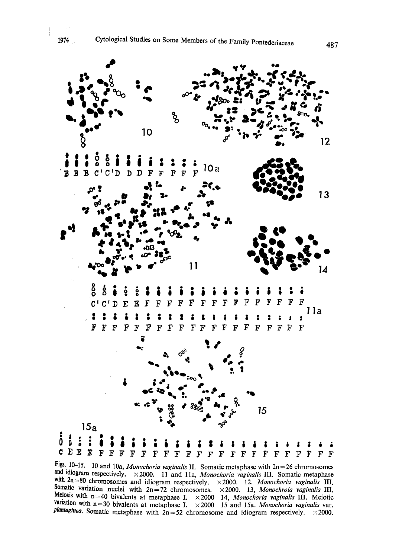

Figs. 10–15. 10 and 10a, *Monochoria vaginalis* II. Somatic metaphase with  $2n=26$  chromos and idiogram respectively.  $\times$  2000. 11 and 11a, *Monochoria vaginalis* III. Somatic metaphase with  $2n=80$  chromosomes and idiogram respectively.  $\times$  2000. 12. Monochoria vaginalis III. omatic variation nuclei with  $2n=72$  chromosomes.  $\times$  2000. 13, Monochroia vaginalis III. eiosis with  $n=40$  bivalents at metaphase I,  $\times$ 2000 14, Monochoria vaginalis III, Meic variation with  $n=30$  bivalents at metaphase I,  $\times$  2000 15 and 15a. Monochoria vaginalis varies **plantaginea.** Somatic metaphase with  $2n=52$  chromosome and idiogram respectively.  $\times$  2000.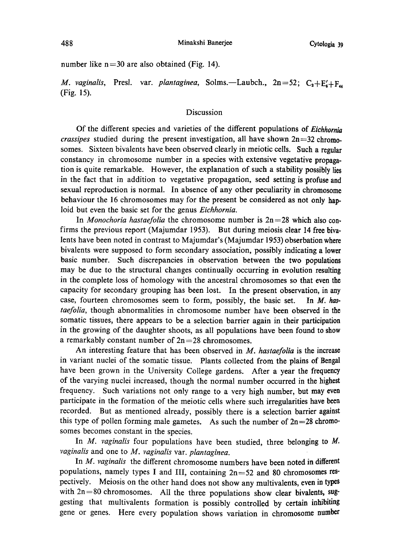number like  $n=30$  are also obtained (Fig. 14).

M. vaginalis, Presl. var. plantaginea, Solms.-Laubch.,  $2n=52$ ;  $C_2+E'_4+F_4$ (Fig. 15).

# Discussion

Of the different species and varieties of the different populations of Eichhornia *crassipes* studied during the present investigation, all have shown  $2n=32$  chromosomes. Sixteen bivalents have been observed clearly in meiotic cells. Such a regular constancy in chromosome number in a species with extensive vegetative propaga tion is quite remarkable. However, the explanation of such a stability possibly lies in the fact that in addition to vegetative propagation, seed setting is profuse and sexual reproduction is normal. In absence of any other peculiarity in chromosome behaviour the 16 chromosomes may for the present be considered as not only hap loid but even the basic set for the genus Eichhornia.

In *Monochoria hastaefolia* the chromosome number is  $2n=28$  which also confirms the previous report (Majumdar 1953). But during meiosis clear 14 free biva lents have been noted in contrast to Majumdar's (Majumdar 1953) obserbation where bivalents were supposed to form secondary association, possibly indicating a lower basic number. Such discrepancies in observation between the two populations may be due to the structural changes continually occurring in evolution resulting in the complete loss of homology with the ancestral chromosomes so that even the capacity for secondary grouping has been lost. In the present observation, in any case, fourteen chromosomes seem to form, possibly, the basic set. In  $M$ . hastaefolia, though abnormalities in chromosome number have been observed in the somatic tissues, there appears to be a selection barrier again in their participation in the growing of the daughter shoots, as all populations have been found to show a remarkably constant number of  $2n=28$  chromosomes.

An interesting feature that has been observed in  $M$ . hastaefolia is the increase in variant nuclei of the somatic tissue. Plants collected from the plains of Bengal have been grown in the University College gardens. After a year the frequency of the varying nuclei increased, though the normal number occurred in the highest frequency. Such variations not only range to a very high number, but may even participate in the formation of the meiotic cells where such irregularities have been recorded. But as mentioned already, possibly there is a selection barrier against this type of pollen forming male gametes. As such the number of  $2n=28$  chromosomes becomes constant in the species.

In  $M$ . vaginalis four populations have been studied, three belonging to  $M$ . vaginalis and one to  $M$ . vaginalis var. plantaginea.

In M. vaginalis the different chromosome numbers have been noted in different populations, namely types I and III, containing  $2n=52$  and 80 chromosomes respectively. Meiosis on the other hand does not show any multivalents, even in types with  $2n=80$  chromosomes. All the three populations show clear bivalents, suggesting that multivalents formation is possibly controlled by certain inhibiting gene or genes. Here every population shows variation in chromosome number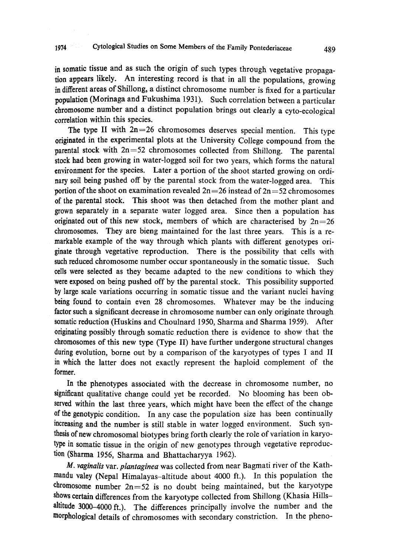in somatic tissue and as such the origin of such types through vegetative propaga tion appears likely. An interesting record is that in all the populations, growing in different areas of Shillong, a distinct chromosome number is fixed for a particular population (Morinaga and Fukushima 1931). Such correlation between a particular chromosome number and a distinct population brings out clearly a cyto-ecological correlation within this species.

The type II with  $2n=26$  chromosomes deserves special mention. This type originated in the experimental plots at the University College compound from the parental stock with  $2n=52$  chromosomes collected from Shillong. The parental stock had been growing in water-logged soil for two years, which forms the natural environment for the species. Later a portion of the shoot started growing on ordi nary soil being pushed off by the parental stock from the water-logged area. This portion of the shoot on examination revealed  $2n=26$  instead of  $2n=52$  chromosomes of the parental stock. This shoot was then detached from the mother plant and grown separately in a separate water logged area. Since then a population has originated out of this new stock, members of which are characterised by  $2n=26$ chromosomes. They are bieng maintained for the last three years. This is a re markable example of the way through which plants with different genotypes ori ginate through vegetative reproduction. There is the possibility that cells with such reduced chromosome number occur spontaneously in the somatic tissue. Such cells were selected as they became adapted to the new conditions to which they were exposed on being pushed off by the parental stock. This possibility supported by large scale variations occurring in somatic tissue and the variant nuclei having being found to contain even 28 chromosomes. Whatever may be the inducing factor such a significant decrease in chromosome number can only originate through somatic reduction (Huskins and Choulnard 1950, Sharma and Sharma 1959). After originating possibly through somatic reduction there is evidence to show that the chromosomes of this new type (Type II) have further undergone structural changes during evolution, borne out by a comparison of the karyotypes of types I and II in which the latter does not exactly represent the haploid complement of the former.

In the phenotypes associated with the decrease in chromosome number, no significant qualitative change could yet be recorded. No blooming has been ob served within the last three years, which might have been the effect of the change of the genotypic condition. In any case the population size has been continually increasing and the number is still stable in water logged environment. Such syn thesis of new chromosomal biotypes bring forth clearly the role of variation in karyo type in somatic tissue in the origin of new genotypes through vegetative reproduc tion (Sharma 1956, Sharma and Bhattacharyya 1962).

M. vaginalis var. plantaginea was collected from near Bagmati river of the Kathmandu valey (Nepal Himalayas-altitude about 4000 ft.). In this population the chromosome number  $2n=52$  is no doubt being maintained, but the karyotype shows certain differences from the karyotype collected from Shillong (Khasia Hills altitude 3000-4000 ft.). The differences principally involve the number and the morphological details of chromosomes with secondary constriction. In the pheno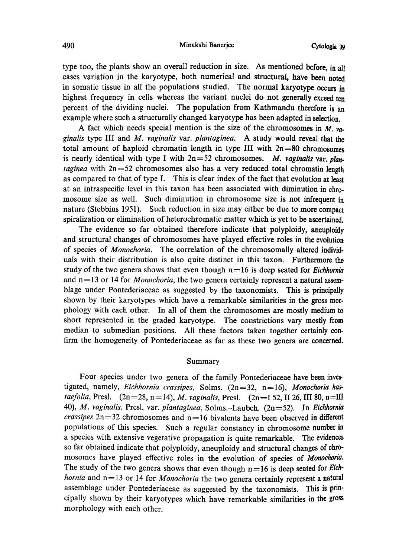#### 490 Minakshi Banerjee Cytologia 39

type too, the plants show an overall reduction in size. As mentioned before, in all cases variation in the karyotype, both numerical and structural, have been noted in somatic tissue in all the populations studied. The normal karyotype occurs in highest frequency in cells whereas the variant nuclei do not generally exceed ten percent of the dividing nuclei. The population from Kathmandu therefore is an example where such a structurally changed karyotype has been adapted in selection.

A fact which needs special mention is the size of the chromosomes in  $M$ .  $ya$ ginalis type III and  $M$ . vaginalis var. plantaginea. A study would reveal that the total amount of haploid chromatin length in type III with  $2n=80$  chromosomes is nearly identical with type I with  $2n=52$  chromosomes. M. vaginalis var. plan*taginea* with  $2n=52$  chromosomes also has a very reduced total chromatin length as compared to that of type I. This is clear index of the fact that evolution at least at an intraspecific level in this taxon has been associated with diminution in chro mosome size as well. Such diminution in chromosome size is not infrequent in nature (Stebbins 1951). Such reduction in size may either be due to more compact spiralization or elimination of heterochromatic matter which is yet to be ascertained.

The evidence so far obtained therefore indicate that polyploidy, aneuploidy and structural changes of chromosomes have played effective roles in the evolution of species of Monochoria. The correlation of the chromosomally altered individ uals with their distribution is also quite distinct in this taxon. Furthermore the study of the two genera shows that even though  $n=16$  is deep seated for *Eichhornia* and  $n=13$  or 14 for *Monochoria*, the two genera certainly represent a natural assemblage under Pontederiaceae as suggested by the taxonomists. This is principally shown by their karyotypes which have a remarkable similarities in the gross mor phology with each other. In all of them the chromosomes are mostly medium to short represented in the graded karyotype. The constrictions vary mostly from median to submedian positions. All these factors taken together certainly con firm the homogeneity of Pontederiaceae as far as these two genera are concerned.

#### Summary

Four species under two genera of the family Pontederiaceae have been inves tigated, namely, Eichhornia crassipes, Solms. (2n=32, n=16), Monochoria hastaefolia, Presl.  $(2n=28, n=14)$ , M. vaginalis, Presl.  $(2n=I 52, II 26, III 80, n=III)$ 40), M. vaginalis, Presl. var. plantaginea, Solms.-Laubch. (2n=52). In Eichhornia *crassipes*  $2n=32$  chromosomes and  $n=16$  bivalents have been observed in different populations of this species. Such a regular constancy in chromosome number in a species with extensive vegetative propagation is quite remarkable. The evidences so far obtained indicate that polyploidy, aneuploidy and structural changes of chro mosomes have played effective roles in the evolution of species of Monochoria. The study of the two genera shows that even though  $n=16$  is deep seated for *Eich*hornia and  $n=13$  or 14 for Monochoria the two genera certainly represent a natural assemblage under Pontederiaceae as suggested by the taxonomists. This is prin cipally shown by their karyotypes which have remarkable similarities in the gross morphology with each other.